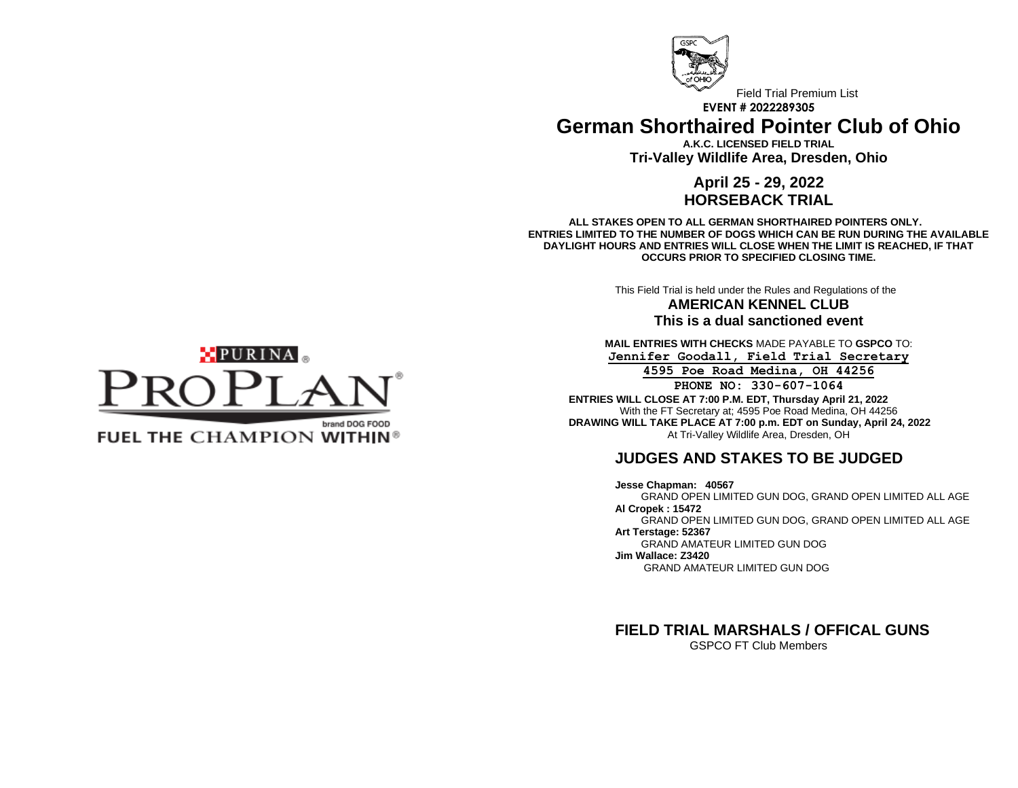

Field Trial Premium List **EVENT # 2022289305 German Shorthaired Pointer Club of Ohio**

> **A.K.C. LICENSED FIELD TRIAL Tri-Valley Wildlife Area, Dresden, Ohio**

### **April 25 - 29, 2022 HORSEBACK TRIAL**

**ALL STAKES OPEN TO ALL GERMAN SHORTHAIRED POINTERS ONLY. ENTRIES LIMITED TO THE NUMBER OF DOGS WHICH CAN BE RUN DURING THE AVAILABLE DAYLIGHT HOURS AND ENTRIES WILL CLOSE WHEN THE LIMIT IS REACHED, IF THAT OCCURS PRIOR TO SPECIFIED CLOSING TIME.**

This Field Trial is held under the Rules and Regulations of the

**AMERICAN KENNEL CLUB This is a dual sanctioned event**

**MAIL ENTRIES WITH CHECKS** MADE PAYABLE TO **GSPCO** TO: **Jennifer Goodall, Field Trial Secretary**

**4595 Poe Road Medina, OH 44256 PHONE NO: 330-607-1064**

**ENTRIES WILL CLOSE AT 7:00 P.M. EDT, Thursday April 21, 2022** With the FT Secretary at; 4595 Poe Road Medina, OH 44256 **DRAWING WILL TAKE PLACE AT 7:00 p.m. EDT on Sunday, April 24, 2022** At Tri-Valley Wildlife Area, Dresden, OH

## **JUDGES AND STAKES TO BE JUDGED**

**Jesse Chapman: 40567**  GRAND OPEN LIMITED GUN DOG, GRAND OPEN LIMITED ALL AGE **Al Cropek : 15472** GRAND OPEN LIMITED GUN DOG, GRAND OPEN LIMITED ALL AGE **Art Terstage: 52367** GRAND AMATEUR LIMITED GUN DOG **Jim Wallace: Z3420** GRAND AMATEUR LIMITED GUN DOG

**FIELD TRIAL MARSHALS / OFFICAL GUNS** GSPCO FT Club Members